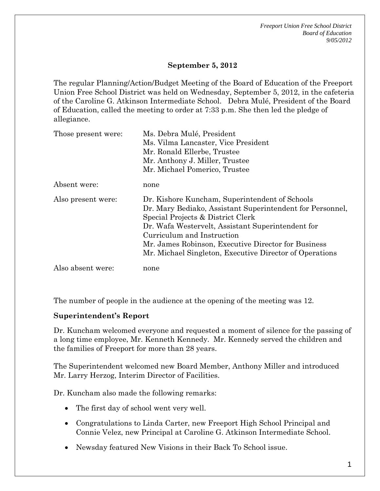*Freeport Union Free School District Board of Education 9/05/2012* 

### **September 5, 2012**

The regular Planning/Action/Budget Meeting of the Board of Education of the Freeport Union Free School District was held on Wednesday, September 5, 2012, in the cafeteria of the Caroline G. Atkinson Intermediate School. Debra Mulé, President of the Board of Education, called the meeting to order at 7:33 p.m. She then led the pledge of allegiance.

| Those present were: | Ms. Debra Mulé, President<br>Ms. Vilma Lancaster, Vice President<br>Mr. Ronald Ellerbe, Trustee<br>Mr. Anthony J. Miller, Trustee                                                                                                                                                                                                                     |
|---------------------|-------------------------------------------------------------------------------------------------------------------------------------------------------------------------------------------------------------------------------------------------------------------------------------------------------------------------------------------------------|
|                     | Mr. Michael Pomerico, Trustee                                                                                                                                                                                                                                                                                                                         |
| Absent were:        | none                                                                                                                                                                                                                                                                                                                                                  |
| Also present were:  | Dr. Kishore Kuncham, Superintendent of Schools<br>Dr. Mary Bediako, Assistant Superintendent for Personnel,<br>Special Projects & District Clerk<br>Dr. Wafa Westervelt, Assistant Superintendent for<br>Curriculum and Instruction<br>Mr. James Robinson, Executive Director for Business<br>Mr. Michael Singleton, Executive Director of Operations |
| Also absent were:   | none                                                                                                                                                                                                                                                                                                                                                  |

The number of people in the audience at the opening of the meeting was 12.

#### **Superintendent's Report**

Dr. Kuncham welcomed everyone and requested a moment of silence for the passing of a long time employee, Mr. Kenneth Kennedy. Mr. Kennedy served the children and the families of Freeport for more than 28 years.

The Superintendent welcomed new Board Member, Anthony Miller and introduced Mr. Larry Herzog, Interim Director of Facilities.

Dr. Kuncham also made the following remarks:

- The first day of school went very well.
- Congratulations to Linda Carter, new Freeport High School Principal and Connie Velez, new Principal at Caroline G. Atkinson Intermediate School.
- Newsday featured New Visions in their Back To School issue.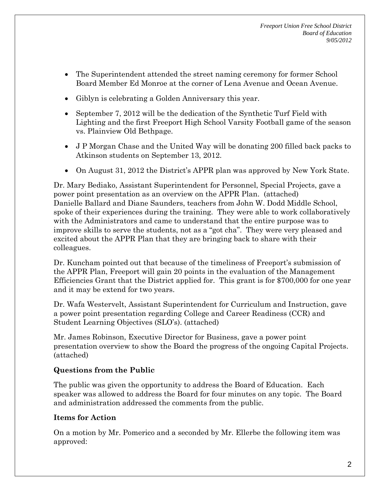- The Superintendent attended the street naming ceremony for former School Board Member Ed Monroe at the corner of Lena Avenue and Ocean Avenue.
- Giblyn is celebrating a Golden Anniversary this year.
- September 7, 2012 will be the dedication of the Synthetic Turf Field with Lighting and the first Freeport High School Varsity Football game of the season vs. Plainview Old Bethpage.
- J P Morgan Chase and the United Way will be donating 200 filled back packs to Atkinson students on September 13, 2012.
- On August 31, 2012 the District's APPR plan was approved by New York State.

Dr. Mary Bediako, Assistant Superintendent for Personnel, Special Projects, gave a power point presentation as an overview on the APPR Plan. (attached) Danielle Ballard and Diane Saunders, teachers from John W. Dodd Middle School, spoke of their experiences during the training. They were able to work collaboratively with the Administrators and came to understand that the entire purpose was to improve skills to serve the students, not as a "got cha". They were very pleased and excited about the APPR Plan that they are bringing back to share with their colleagues.

Dr. Kuncham pointed out that because of the timeliness of Freeport's submission of the APPR Plan, Freeport will gain 20 points in the evaluation of the Management Efficiencies Grant that the District applied for. This grant is for \$700,000 for one year and it may be extend for two years.

Dr. Wafa Westervelt, Assistant Superintendent for Curriculum and Instruction, gave a power point presentation regarding College and Career Readiness (CCR) and Student Learning Objectives (SLO's). (attached)

Mr. James Robinson, Executive Director for Business, gave a power point presentation overview to show the Board the progress of the ongoing Capital Projects. (attached)

# **Questions from the Public**

The public was given the opportunity to address the Board of Education. Each speaker was allowed to address the Board for four minutes on any topic. The Board and administration addressed the comments from the public.

# **Items for Action**

On a motion by Mr. Pomerico and a seconded by Mr. Ellerbe the following item was approved: